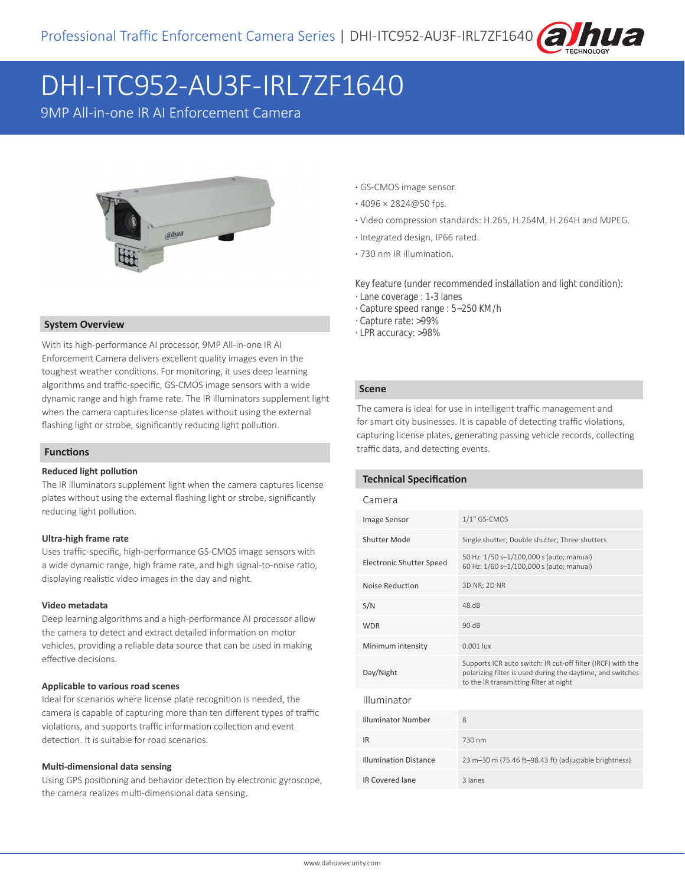

# DHI-ITC952-AU3F-IRL7ZF1640

9MP All-in-one IR AI Enforcement Camera



#### **System Overview**

With its high-performance AI processor, 9MP All-in-one IR AI Enforcement Camera delivers excellent quality images even in the toughest weather conditions. For monitoring, it uses deep learning algorithms and traffic-specific, GS-CMOS image sensors with a wide dynamic range and high frame rate. The IR illuminators supplement light when the camera captures license plates without using the external flashing light or strobe, significantly reducing light pollution.

#### **Functions**

#### **Reduced light pollution**

The IR illuminators supplement light when the camera captures license plates without using the external flashing light or strobe, significantly reducing light pollution.

#### **Ultra-high frame rate**

Uses traffic-specific, high-performance GS-CMOS image sensors with a wide dynamic range, high frame rate, and high signal-to-noise ratio, displaying realistic video images in the day and night.

#### **Video metadata**

Deep learning algorithms and a high-performance AI processor allow the camera to detect and extract detailed information on motor vehicles, providing a reliable data source that can be used in making effective decisions.

#### **Applicable to various road scenes**

Ideal for scenarios where license plate recognition is needed, the camera is capable of capturing more than ten different types of traffic violations, and supports traffic information collection and event detection. It is suitable for road scenarios.

#### **Multi-dimensional data sensing**

Using GPS positioning and behavior detection by electronic gyroscope, the camera realizes multi-dimensional data sensing.

- **·** GS-CMOS image sensor.
- **·** 4096 × 2824@50 fps.
- **·** Video compression standards: H.265, H.264M, H.264H and MJPEG.
- **·** Integrated design, IP66 rated.
- **·** 730 nm IR illumination.

Key feature (under recommended installation and light condition):

- · Lane coverage : 1-3 lanes
- · Capture speed range : 5~250 KM/h
- · Capture rate: >99%
- · LPR accuracy: >98%

#### **Scene**

The camera is ideal for use in intelligent traffic management and for smart city businesses. It is capable of detecting traffic violations, capturing license plates, generating passing vehicle records, collecting traffic data, and detecting events.

#### **Technical Specification**

#### Camera

| <b>Image Sensor</b>             | $1/1"$ GS-CMOS                                                                                                                                                      |  |
|---------------------------------|---------------------------------------------------------------------------------------------------------------------------------------------------------------------|--|
| Shutter Mode                    | Single shutter; Double shutter; Three shutters                                                                                                                      |  |
| <b>Electronic Shutter Speed</b> | 50 Hz: 1/50 s-1/100,000 s (auto; manual)<br>60 Hz: 1/60 s-1/100,000 s (auto; manual)                                                                                |  |
| Noise Reduction                 | 3D NR; 2D NR                                                                                                                                                        |  |
| S/N                             | 48 dB                                                                                                                                                               |  |
| <b>WDR</b>                      | 90dB                                                                                                                                                                |  |
| Minimum intensity               | $0.001$ lux                                                                                                                                                         |  |
| Day/Night                       | Supports ICR auto switch: IR cut-off filter (IRCF) with the<br>polarizing filter is used during the daytime, and switches<br>to the IR transmitting filter at night |  |
| Illuminator                     |                                                                                                                                                                     |  |
| <b>Illuminator Number</b>       | 8                                                                                                                                                                   |  |
| <b>IR</b>                       | 730 nm                                                                                                                                                              |  |
| <b>Illumination Distance</b>    | 23 m-30 m (75.46 ft-98.43 ft) (adjustable brightness)                                                                                                               |  |
| <b>IR Covered lane</b>          | 3 lanes                                                                                                                                                             |  |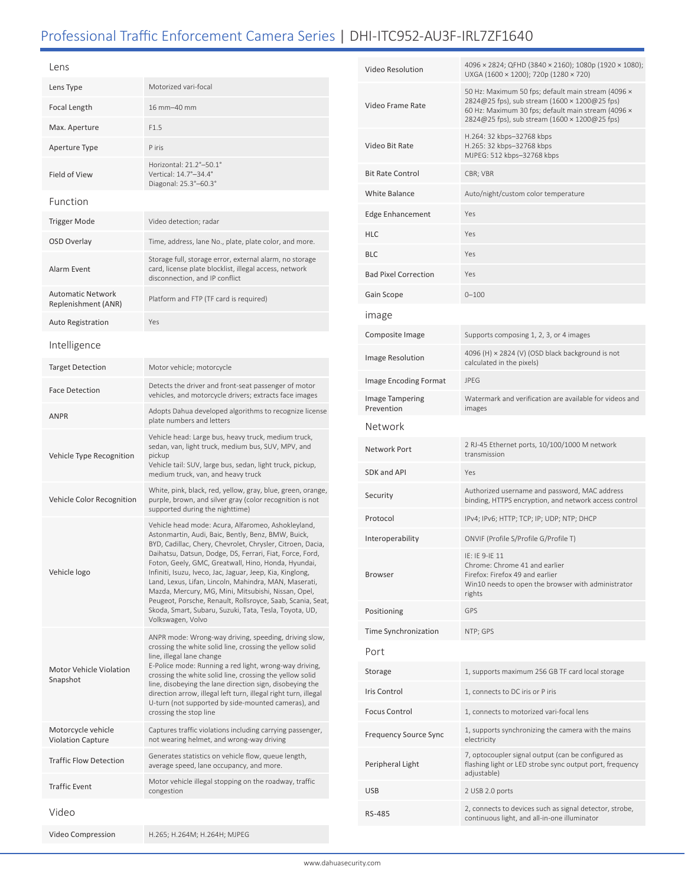## Professional Traffic Enforcement Camera Series | DHI-ITC952-AU3F-IRL7ZF1640

| Lens                                            |                                                                                                                                                                                                                                                                                                                                                                                                                                                                                                                                                                                                                     |  |
|-------------------------------------------------|---------------------------------------------------------------------------------------------------------------------------------------------------------------------------------------------------------------------------------------------------------------------------------------------------------------------------------------------------------------------------------------------------------------------------------------------------------------------------------------------------------------------------------------------------------------------------------------------------------------------|--|
| Lens Type                                       | Motorized vari-focal                                                                                                                                                                                                                                                                                                                                                                                                                                                                                                                                                                                                |  |
| Focal Length                                    | 16 mm-40 mm                                                                                                                                                                                                                                                                                                                                                                                                                                                                                                                                                                                                         |  |
| Max. Aperture                                   | F1.5                                                                                                                                                                                                                                                                                                                                                                                                                                                                                                                                                                                                                |  |
| Aperture Type                                   | P iris                                                                                                                                                                                                                                                                                                                                                                                                                                                                                                                                                                                                              |  |
| <b>Field of View</b>                            | Horizontal: 21.2°-50.1°<br>Vertical: 14.7°-34.4°<br>Diagonal: 25.3°-60.3°                                                                                                                                                                                                                                                                                                                                                                                                                                                                                                                                           |  |
| Function                                        |                                                                                                                                                                                                                                                                                                                                                                                                                                                                                                                                                                                                                     |  |
| <b>Trigger Mode</b>                             | Video detection; radar                                                                                                                                                                                                                                                                                                                                                                                                                                                                                                                                                                                              |  |
| OSD Overlay                                     | Time, address, lane No., plate, plate color, and more.                                                                                                                                                                                                                                                                                                                                                                                                                                                                                                                                                              |  |
| Alarm Event                                     | Storage full, storage error, external alarm, no storage<br>card, license plate blocklist, illegal access, network<br>disconnection, and IP conflict                                                                                                                                                                                                                                                                                                                                                                                                                                                                 |  |
| <b>Automatic Network</b><br>Replenishment (ANR) | Platform and FTP (TF card is required)                                                                                                                                                                                                                                                                                                                                                                                                                                                                                                                                                                              |  |
| <b>Auto Registration</b>                        | Yes                                                                                                                                                                                                                                                                                                                                                                                                                                                                                                                                                                                                                 |  |
| Intelligence                                    |                                                                                                                                                                                                                                                                                                                                                                                                                                                                                                                                                                                                                     |  |
| <b>Target Detection</b>                         | Motor vehicle; motorcycle                                                                                                                                                                                                                                                                                                                                                                                                                                                                                                                                                                                           |  |
| <b>Face Detection</b>                           | Detects the driver and front-seat passenger of motor<br>vehicles, and motorcycle drivers; extracts face images                                                                                                                                                                                                                                                                                                                                                                                                                                                                                                      |  |
| <b>ANPR</b>                                     | Adopts Dahua developed algorithms to recognize license<br>plate numbers and letters                                                                                                                                                                                                                                                                                                                                                                                                                                                                                                                                 |  |
| Vehicle Type Recognition                        | Vehicle head: Large bus, heavy truck, medium truck,<br>sedan, van, light truck, medium bus, SUV, MPV, and<br>pickup<br>Vehicle tail: SUV, large bus, sedan, light truck, pickup,<br>medium truck, van, and heavy truck                                                                                                                                                                                                                                                                                                                                                                                              |  |
| Vehicle Color Recognition                       | White, pink, black, red, yellow, gray, blue, green, orange,<br>purple, brown, and silver gray (color recognition is not<br>supported during the nighttime)                                                                                                                                                                                                                                                                                                                                                                                                                                                          |  |
| Vehicle logo                                    | Vehicle head mode: Acura, Alfaromeo, Ashokleyland,<br>Astonmartin, Audi, Baic, Bently, Benz, BMW, Buick,<br>BYD, Cadillac, Chery, Chevrolet, Chrysler, Citroen, Dacia,<br>Daihatsu, Datsun, Dodge, DS, Ferrari, Fiat, Force, Ford,<br>Foton, Geely, GMC, Greatwall, Hino, Honda, Hyundai,<br>Infiniti, Isuzu, Iveco, Jac, Jaguar, Jeep, Kia, Kinglong,<br>Land, Lexus, Lifan, Lincoln, Mahindra, MAN, Maserati,<br>Mazda, Mercury, MG, Mini, Mitsubishi, Nissan, Opel,<br>Peugeot, Porsche, Renault, Rollsroyce, Saab, Scania, Seat,<br>Skoda, Smart, Subaru, Suzuki, Tata, Tesla, Toyota, UD,<br>Volkswagen, Volvo |  |
| <b>Motor Vehicle Violation</b><br>Snapshot      | ANPR mode: Wrong-way driving, speeding, driving slow,<br>crossing the white solid line, crossing the yellow solid<br>line, illegal lane change<br>E-Police mode: Running a red light, wrong-way driving,<br>crossing the white solid line, crossing the yellow solid<br>line, disobeying the lane direction sign, disobeying the<br>direction arrow, illegal left turn, illegal right turn, illegal<br>U-turn (not supported by side-mounted cameras), and<br>crossing the stop line                                                                                                                                |  |
| Motorcycle vehicle<br><b>Violation Capture</b>  | Captures traffic violations including carrying passenger,<br>not wearing helmet, and wrong-way driving                                                                                                                                                                                                                                                                                                                                                                                                                                                                                                              |  |
| <b>Traffic Flow Detection</b>                   | Generates statistics on vehicle flow, queue length,<br>average speed, lane occupancy, and more.                                                                                                                                                                                                                                                                                                                                                                                                                                                                                                                     |  |
| <b>Traffic Event</b>                            | Motor vehicle illegal stopping on the roadway, traffic<br>congestion                                                                                                                                                                                                                                                                                                                                                                                                                                                                                                                                                |  |
| Video                                           |                                                                                                                                                                                                                                                                                                                                                                                                                                                                                                                                                                                                                     |  |
| Video Compression                               | H.265; H.264M; H.264H; MJPEG                                                                                                                                                                                                                                                                                                                                                                                                                                                                                                                                                                                        |  |

| Video Resolution              | 4096 x 2824; QFHD (3840 x 2160); 1080p (1920 x 1080);<br>UXGA (1600 × 1200); 720p (1280 × 720)                                                                                                             |  |
|-------------------------------|------------------------------------------------------------------------------------------------------------------------------------------------------------------------------------------------------------|--|
| Video Frame Rate              | 50 Hz: Maximum 50 fps; default main stream (4096 x<br>2824@25 fps), sub stream (1600 × 1200@25 fps)<br>60 Hz: Maximum 30 fps; default main stream (4096 x<br>2824@25 fps), sub stream (1600 × 1200@25 fps) |  |
| Video Bit Rate                | H.264: 32 kbps-32768 kbps<br>H.265: 32 kbps-32768 kbps<br>MJPEG: 512 kbps-32768 kbps                                                                                                                       |  |
| <b>Bit Rate Control</b>       | CBR; VBR                                                                                                                                                                                                   |  |
| White Balance                 | Auto/night/custom color temperature                                                                                                                                                                        |  |
| <b>Edge Enhancement</b>       | Yes                                                                                                                                                                                                        |  |
| HLC                           | Yes                                                                                                                                                                                                        |  |
| BLC                           | Yes                                                                                                                                                                                                        |  |
| <b>Bad Pixel Correction</b>   | Yes                                                                                                                                                                                                        |  |
| Gain Scope                    | $0 - 100$                                                                                                                                                                                                  |  |
| <b>Image</b>                  |                                                                                                                                                                                                            |  |
| Composite Image               | Supports composing 1, 2, 3, or 4 images                                                                                                                                                                    |  |
| Image Resolution              | 4096 (H) × 2824 (V) (OSD black background is not<br>calculated in the pixels)                                                                                                                              |  |
| <b>Image Encoding Format</b>  | <b>JPFG</b>                                                                                                                                                                                                |  |
| Image Tampering<br>Prevention | Watermark and verification are available for videos and<br>images                                                                                                                                          |  |
| Network                       |                                                                                                                                                                                                            |  |
| Network Port                  | 2 RJ-45 Ethernet ports, 10/100/1000 M network<br>transmission                                                                                                                                              |  |
| SDK and API                   | Yes                                                                                                                                                                                                        |  |
| Security                      | Authorized username and password, MAC address<br>binding, HTTPS encryption, and network access control                                                                                                     |  |
| Protocol                      | IPv4; IPv6; HTTP; TCP; IP; UDP; NTP; DHCP                                                                                                                                                                  |  |
| Interoperability              | ONVIF (Profile S/Profile G/Profile T)                                                                                                                                                                      |  |
| Browser                       | IE: IE 9-IE 11<br>Chrome: Chrome 41 and earlier<br>Firefox: Firefox 49 and earlier<br>Win10 needs to open the browser with administrator<br>rights                                                         |  |
| Positioning                   | GPS                                                                                                                                                                                                        |  |
| Time Synchronization          | NTP; GPS                                                                                                                                                                                                   |  |
| Port                          |                                                                                                                                                                                                            |  |
| Storage                       | 1, supports maximum 256 GB TF card local storage                                                                                                                                                           |  |
| Iris Control                  | 1, connects to DC iris or P iris                                                                                                                                                                           |  |
| <b>Focus Control</b>          | 1, connects to motorized vari-focal lens                                                                                                                                                                   |  |
| Frequency Source Sync         | 1, supports synchronizing the camera with the mains<br>electricity                                                                                                                                         |  |
| Peripheral Light              | 7, optocoupler signal output (can be configured as<br>flashing light or LED strobe sync output port, frequency<br>adjustable)                                                                              |  |
| USB                           | 2 USB 2.0 ports                                                                                                                                                                                            |  |
| RS-485                        | 2, connects to devices such as signal detector, strobe,<br>continuous light, and all-in-one illuminator                                                                                                    |  |
|                               |                                                                                                                                                                                                            |  |